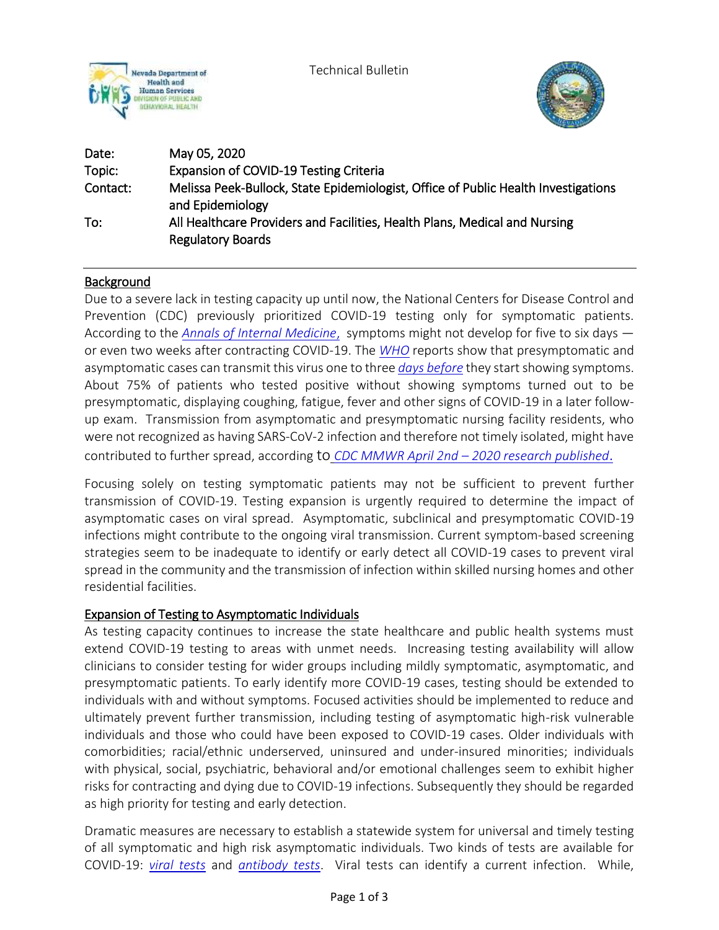

Technical Bulletin



| Date:    | May 05, 2020                                                                                           |
|----------|--------------------------------------------------------------------------------------------------------|
| Topic:   | <b>Expansion of COVID-19 Testing Criteria</b>                                                          |
| Contact: | Melissa Peek-Bullock, State Epidemiologist, Office of Public Health Investigations<br>and Epidemiology |
| To:      | All Healthcare Providers and Facilities, Health Plans, Medical and Nursing<br><b>Regulatory Boards</b> |

# **Background**

Due to a severe lack in testing capacity up until now, the National Centers for Disease Control and Prevention (CDC) previously prioritized COVID-19 testing only for symptomatic patients. According to the *[Annals of Internal Medicine](https://annals.org/aim/fullarticle/2762808/incubation-period-coronavirus-disease-2019-covid-19-from-publicly-reported)*, symptoms might not develop for five to six days or even two weeks after contracting COVID-19. The *[WHO](https://www.who.int/docs/default-source/coronaviruse/situation-reports/20200402-sitrep-73-covid-19.pdf?sfvrsn=5ae25bc7_6)* reports show that presymptomatic and asymptomatic cases can transmit this viru[s one to three](https://www.cdc.gov/mmwr/volumes/69/wr/mm6914e1.htm) *days before* they start showing symptoms. About 75% of patients who tested positive without showing symptoms turned out to be presymptomatic, displaying coughing, fatigue, fever and other signs of COVID-19 in a later followup exam. Transmission from asymptomatic and presymptomatic nursing facility residents, who were not recognized as having SARS-CoV-2 infection and therefore not timely isolated, might have contributed to further spread, according to *CDC MMWR April 2nd – [2020 research published](https://www.cdc.gov/mmwr/volumes/69/wr/mm6913e1.htm?s_cid=mm6913e1_w)*.

Focusing solely on testing symptomatic patients may not be sufficient to prevent further transmission of COVID-19. Testing expansion is urgently required to determine the impact of asymptomatic cases on viral spread. Asymptomatic, subclinical and presymptomatic COVID-19 infections might contribute to the ongoing viral transmission. Current symptom-based screening strategies seem to be inadequate to identify or early detect all COVID-19 cases to prevent viral spread in the community and the transmission of infection within skilled nursing homes and other residential facilities.

# Expansion of Testing to Asymptomatic Individuals

As testing capacity continues to increase the state healthcare and public health systems must extend COVID-19 testing to areas with unmet needs. Increasing testing availability will allow clinicians to consider testing for wider groups including mildly symptomatic, asymptomatic, and presymptomatic patients. To early identify more COVID-19 cases, testing should be extended to individuals with and without symptoms. Focused activities should be implemented to reduce and ultimately prevent further transmission, including testing of asymptomatic high-risk vulnerable individuals and those who could have been exposed to COVID-19 cases. Older individuals with comorbidities; racial/ethnic underserved, uninsured and under-insured minorities; individuals with physical, social, psychiatric, behavioral and/or emotional challenges seem to exhibit higher risks for contracting and dying due to COVID-19 infections. Subsequently they should be regarded as high priority for testing and early detection.

Dramatic measures are necessary to establish a statewide system for universal and timely testing of all symptomatic and high risk asymptomatic individuals. Two kinds of tests are available for COVID-19: *[viral tests](https://www.cdc.gov/coronavirus/2019-ncov/testing/diagnostic-testing.html)* and *[antibody tests](https://www.cdc.gov/coronavirus/2019-ncov/testing/serology-overview.html)*. Viral tests can identify a current infection. While,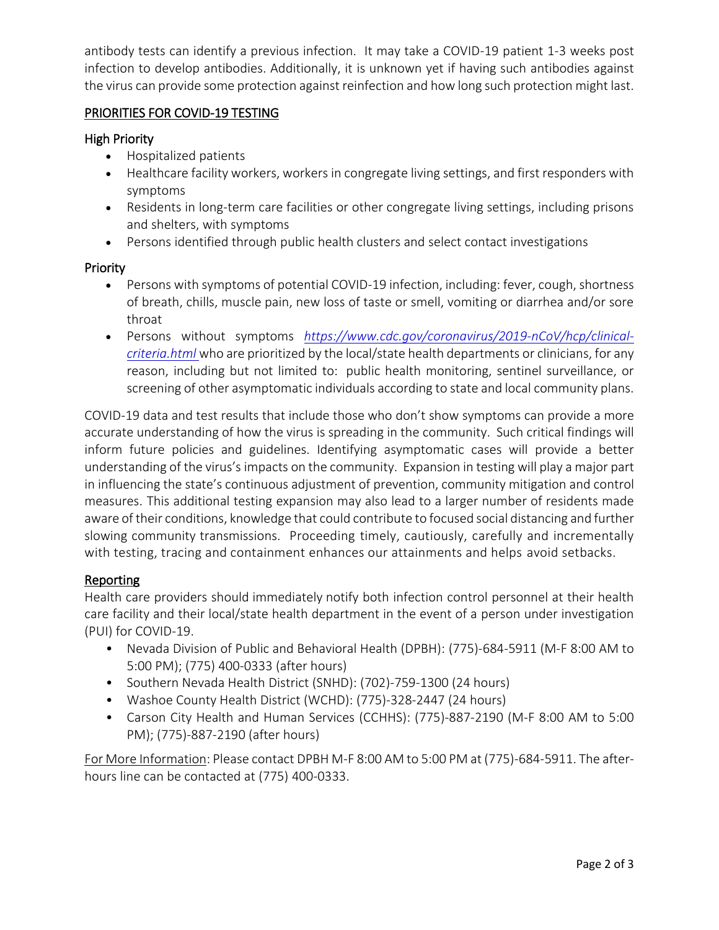antibody tests can identify a previous infection. It may take a COVID-19 patient 1-3 weeks post infection to develop antibodies. Additionally, it is unknown yet if having such antibodies against the virus can provide some protection against reinfection and how long such protection might last.

### PRIORITIES FOR COVID-19 TESTING

#### High Priority

- Hospitalized patients
- Healthcare facility workers, workers in congregate living settings, and first responders with symptoms
- Residents in long-term care facilities or other congregate living settings, including prisons and shelters, with symptoms
- Persons identified through public health clusters and select contact investigations

### Priority

- Persons with symptoms of potential COVID-19 infection, including: fever, cough, shortness of breath, chills, muscle pain, new loss of taste or smell, vomiting or diarrhea and/or sore throat
- Persons without symptoms *[https://www.cdc.gov/coronavirus/2019-nCoV/hcp/clinical](https://www.cdc.gov/coronavirus/2019-nCoV/hcp/clinical-criteria.html)[criteria.html](https://www.cdc.gov/coronavirus/2019-nCoV/hcp/clinical-criteria.html)* who are prioritized by the local/state health departments or clinicians, for any reason, including but not limited to: public health monitoring, sentinel surveillance, or screening of other asymptomatic individuals according to state and local community plans.

COVID-19 data and test results that include those who don't show symptoms can provide a more accurate understanding of how the virus is spreading in the community. Such critical findings will inform future policies and guidelines. Identifying asymptomatic cases will provide a better understanding of the virus's impacts on the community. Expansion in testing will play a major part in influencing the state's continuous adjustment of prevention, community mitigation and control measures. This additional testing expansion may also lead to a larger number of residents made aware of their conditions, knowledge that could contribute to focused social distancing and further slowing community transmissions. Proceeding timely, cautiously, carefully and incrementally with testing, tracing and containment enhances our attainments and helps avoid setbacks.

# Reporting

Health care providers should immediately notify both infection control personnel at their health care facility and their local/state health department in the event of a person under investigation (PUI) for COVID-19.

- Nevada Division of Public and Behavioral Health (DPBH): (775)-684-5911 (M-F 8:00 AM to 5:00 PM); (775) 400-0333 (after hours)
- Southern Nevada Health District (SNHD): (702)-759-1300 (24 hours)
- Washoe County Health District (WCHD): (775)-328-2447 (24 hours)
- Carson City Health and Human Services (CCHHS): (775)-887-2190 (M-F 8:00 AM to 5:00 PM); (775)-887-2190 (after hours)

For More Information: Please contact DPBH M-F 8:00 AM to 5:00 PM at (775)-684-5911. The afterhours line can be contacted at (775) 400-0333.